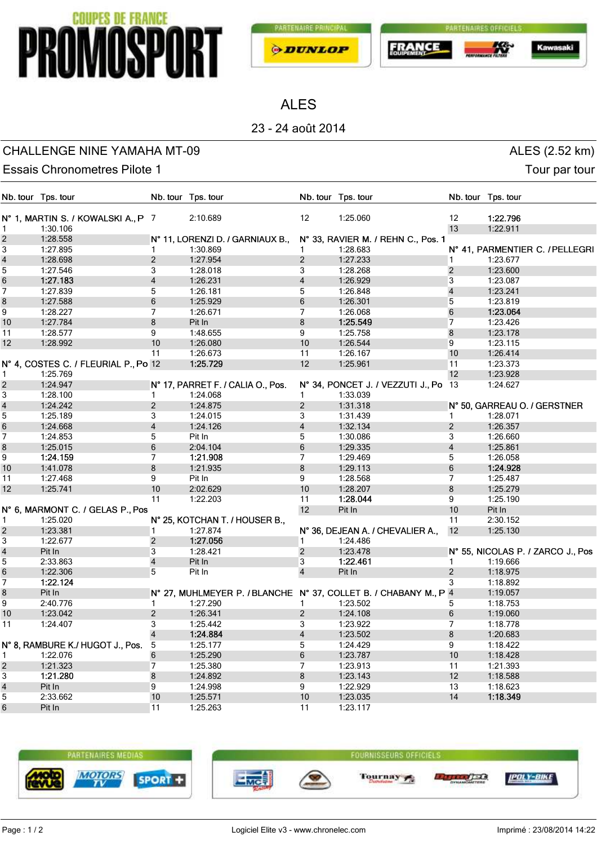# **PROMOSPORT**





ALES

## 23 - 24 août 2014

### CHALLENGE NINE YAMAHA MT-09 ALES (2.52 km)

Kawa

Essais Chronometres Pilote 1 and 1 and 2 and 2 and 2 and 2 and 2 and 2 and 2 and 2 and 2 and 2 and 2 and 2 and 2 and 2 and 2 and 2 and 2 and 2 and 2 and 2 and 2 and 2 and 2 and 2 and 2 and 2 and 2 and 2 and 2 and 2 and 2 a

|                         | Nb. tour Tps. tour                   |                | Nb. tour Tps. tour                |                         | Nb. tour Tps. tour                                               |                   | Nb. tour Tps. tour                |
|-------------------------|--------------------------------------|----------------|-----------------------------------|-------------------------|------------------------------------------------------------------|-------------------|-----------------------------------|
|                         | N° 1, MARTIN S. / KOWALSKI A., P 7   |                | 2:10.689                          | 12                      | 1:25.060                                                         | $12 \overline{ }$ | 1:22.796                          |
| 1                       | 1:30.106                             |                |                                   |                         |                                                                  | 13                | 1:22.911                          |
| $\sqrt{2}$              | 1:28.558                             |                | N° 11, LORENZI D. / GARNIAUX B.,  |                         | N° 33, RAVIER M. / REHN C., Pos. 1                               |                   |                                   |
| 3                       | 1:27.895                             | $\mathbf{1}$   | 1:30.869                          | 1                       | 1:28.683                                                         |                   | N° 41, PARMENTIER C. / PELLEGRI   |
| $\overline{\mathbf{4}}$ | 1:28.698                             | $\overline{2}$ | 1:27.954                          | $\overline{2}$          | 1:27.233                                                         | $\mathbf 1$       | 1:23.677                          |
| $\overline{5}$          | 1:27.546                             | 3              | 1:28.018                          | 3                       | 1:28.268                                                         | $\overline{2}$    | 1:23.600                          |
| 6                       | 1:27.183                             | 4              | 1:26.231                          | 4                       | 1:26.929                                                         | 3                 | 1:23.087                          |
| $\overline{7}$          | 1:27.839                             | 5              | 1:26.181                          | 5                       | 1:26.848                                                         | $\overline{4}$    | 1:23.241                          |
| 8                       | 1:27.588                             | 6              | 1:25.929                          | 6                       | 1:26.301                                                         | 5                 | 1:23.819                          |
| 9                       | 1:28.227                             | 7              | 1:26.671                          | 7                       | 1:26.068                                                         | 6                 | 1:23.064                          |
| 10                      | 1:27.784                             | 8              | Pit In                            | 8                       | 1:25.549                                                         | 7                 | 1:23.426                          |
| 11                      | 1:28.577                             | 9              | 1:48.655                          | 9                       | 1:25.758                                                         | 8                 | 1:23.178                          |
| 12                      | 1:28.992                             | 10             | 1:26.080                          | 10                      | 1:26.544                                                         | 9                 | 1:23.115                          |
|                         |                                      | 11             | 1:26.673                          | 11                      | 1:26.167                                                         | 10                | 1:26.414                          |
|                         | N° 4, COSTES C. / FLEURIAL P., Po 12 |                | 1:25.729                          | 12                      | 1:25.961                                                         | 11                | 1:23.373                          |
| $\mathbf{1}$            | 1:25.769                             |                |                                   |                         |                                                                  | 12                | 1:23.928                          |
| $\sqrt{2}$              | 1:24.947                             |                | N° 17, PARRET F. / CALIA O., Pos. |                         | N° 34, PONCET J. / VEZZUTI J., Po                                | 13                | 1:24.627                          |
| 3                       | 1:28.100                             | $\mathbf{1}$   | 1:24.068                          | $\mathbf{1}$            | 1:33.039                                                         |                   |                                   |
| $\overline{\mathbf{4}}$ | 1:24.242                             | $\overline{2}$ | 1:24.875                          | $\overline{\mathbf{c}}$ | 1:31.318                                                         |                   | N° 50, GARREAU O. / GERSTNER      |
| 5                       | 1:25.189                             | 3              | 1:24.015                          | 3                       | 1:31.439                                                         | -1                | 1:28.071                          |
| $\,6$                   | 1:24.668                             | $\overline{4}$ | 1:24.126                          | 4                       | 1:32.134                                                         | $\overline{2}$    | 1:26.357                          |
| $\overline{7}$          | 1:24.853                             | 5              | Pit In                            | 5                       | 1:30.086                                                         | 3                 | 1:26.660                          |
| 8                       | 1:25.015                             | 6              | 2:04.104                          | 6                       | 1:29.335                                                         | 4                 | 1:25.861                          |
| 9                       | 1:24.159                             | $\overline{7}$ | 1:21.908                          | 7                       | 1:29.469                                                         | 5                 | 1:26.058                          |
| 10                      | 1:41.078                             | 8              | 1:21.935                          | 8                       | 1:29.113                                                         | 6                 | 1:24.928                          |
| 11                      | 1:27.468                             | 9              | Pit In                            | 9                       | 1:28.568                                                         | 7                 | 1:25.487                          |
| 12                      | 1:25.741                             | 10             | 2:02.629                          | 10                      | 1:28.207                                                         | 8                 | 1:25.279                          |
|                         |                                      | 11             | 1:22.203                          | 11                      | 1:28.044                                                         | 9                 | 1:25.190                          |
|                         | N° 6, MARMONT C. / GELAS P., Pos     |                |                                   | 12                      | Pit In                                                           | 10                | Pit In                            |
| 1                       | 1:25.020                             |                | N° 25, KOTCHAN T. / HOUSER B.,    |                         |                                                                  | 11                | 2:30.152                          |
| $\overline{2}$          | 1:23.381                             | 1              | 1:27.874                          |                         | N° 36, DEJEAN A. / CHEVALIER A.,                                 | 12                | 1:25.130                          |
| $\overline{3}$          | 1:22.677                             | $\overline{2}$ | 1:27.056                          |                         | 1:24.486                                                         |                   |                                   |
| $\overline{\mathbf{4}}$ | Pit In                               | 3              | 1:28.421                          | $\overline{c}$          | 1:23.478                                                         |                   | N° 55, NICOLAS P. / ZARCO J., Pos |
| $\sqrt{5}$              | 2:33.863                             | $\overline{4}$ | Pit In                            | 3                       | 1:22.461                                                         | 1                 | 1:19.666                          |
| 6                       | 1:22.306                             | 5              | Pit In                            | $\overline{4}$          | Pit In                                                           | $\overline{2}$    | 1:18.975                          |
| $\overline{7}$          | 1:22.124                             |                |                                   |                         |                                                                  | 3                 | 1:18.892                          |
| $\bf 8$                 | Pit In                               |                |                                   |                         | N° 27, MUHLMEYER P. / BLANCHE N° 37, COLLET B. / CHABANY M., P 4 |                   | 1:19.057                          |
| 9                       | 2:40.776                             | 1              | 1:27.290                          |                         | 1:23.502                                                         | 5                 | 1:18.753                          |
| 10                      | 1:23.042                             | 2              | 1:26.341                          | $\overline{2}$          | 1:24.108                                                         | 6                 | 1:19.060                          |
| 11                      | 1:24.407                             | 3              | 1:25.442                          | 3                       | 1:23.922                                                         | 7                 | 1:18.778                          |
|                         |                                      | $\overline{4}$ | 1:24.884                          | $\overline{4}$          | 1:23.502                                                         | 8                 | 1:20.683                          |
|                         | N° 8, RAMBURE K./ HUGOT J., Pos. 5   |                | 1:25.177                          | 5                       | 1:24.429                                                         | 9                 | 1:18.422                          |
| 1                       | 1:22.076                             | 6              | 1:25.290                          | 6                       | 1:23.787                                                         | $10$              | 1:18.428                          |
| $\overline{c}$          | 1:21.323                             | 7              | 1:25.380                          | 7                       | 1:23.913                                                         | 11                | 1:21.393                          |
| 3                       | 1:21.280                             | 8              | 1:24.892                          | 8                       | 1:23.143                                                         | 12                | 1:18.588                          |
| $\overline{\mathbf{4}}$ | Pit In                               | 9              | 1:24.998                          | 9                       | 1:22.929                                                         | 13                | 1:18.623                          |
| 5                       | 2:33.662                             | 10             | 1:25.571                          | 10                      | 1:23.035                                                         | 14                | 1:18.349                          |
| 6                       | Pit In                               | 11             | 1:25.263                          | 11                      | 1:23.117                                                         |                   |                                   |
|                         |                                      |                |                                   |                         |                                                                  |                   |                                   |